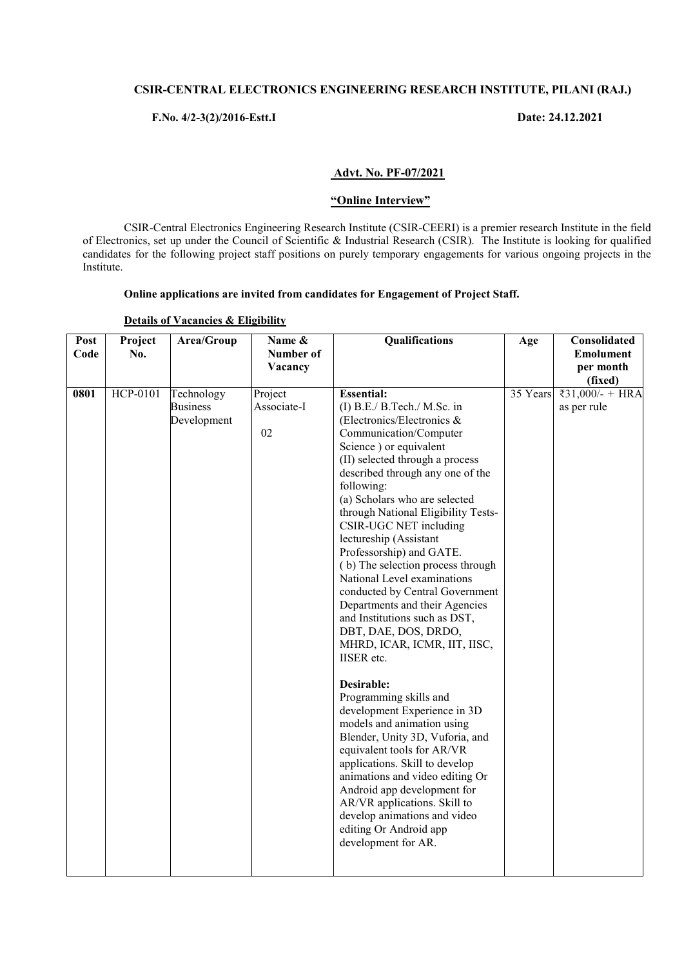# **CSIR-CENTRAL ELECTRONICS ENGINEERING RESEARCH INSTITUTE, PILANI (RAJ.)**

# **F.No. 4/2-3(2)/2016-Estt.I Date: 24.12.2021**

## **Advt. No. PF-07/2021**

#### **"Online Interview"**

CSIR-Central Electronics Engineering Research Institute (CSIR-CEERI) is a premier research Institute in the field of Electronics, set up under the Council of Scientific & Industrial Research (CSIR). The Institute is looking for qualified candidates for the following project staff positions on purely temporary engagements for various ongoing projects in the Institute.

## **Online applications are invited from candidates for Engagement of Project Staff.**

| Post<br>Code | Project<br>No. | Area/Group                                   | Name &<br>Number of<br>Vacancy | Qualifications                                                                                                                                                                                                                                                                                                                                                                                                                                                                                                                                                                                                                                                                                                                                                                                                                                                                                                                                                                                                                           | Age      | Consolidated<br><b>Emolument</b><br>per month<br>(fixed) |
|--------------|----------------|----------------------------------------------|--------------------------------|------------------------------------------------------------------------------------------------------------------------------------------------------------------------------------------------------------------------------------------------------------------------------------------------------------------------------------------------------------------------------------------------------------------------------------------------------------------------------------------------------------------------------------------------------------------------------------------------------------------------------------------------------------------------------------------------------------------------------------------------------------------------------------------------------------------------------------------------------------------------------------------------------------------------------------------------------------------------------------------------------------------------------------------|----------|----------------------------------------------------------|
| 0801         | HCP-0101       | Technology<br><b>Business</b><br>Development | Project<br>Associate-I<br>02   | <b>Essential:</b><br>$(I)$ B.E./ B.Tech./ M.Sc. in<br>(Electronics/Electronics $\&$<br>Communication/Computer<br>Science ) or equivalent<br>(II) selected through a process<br>described through any one of the<br>following:<br>(a) Scholars who are selected<br>through National Eligibility Tests-<br>CSIR-UGC NET including<br>lectureship (Assistant<br>Professorship) and GATE.<br>(b) The selection process through<br>National Level examinations<br>conducted by Central Government<br>Departments and their Agencies<br>and Institutions such as DST,<br>DBT, DAE, DOS, DRDO,<br>MHRD, ICAR, ICMR, IIT, IISC,<br><b>IISER</b> etc.<br>Desirable:<br>Programming skills and<br>development Experience in 3D<br>models and animation using<br>Blender, Unity 3D, Vuforia, and<br>equivalent tools for AR/VR<br>applications. Skill to develop<br>animations and video editing Or<br>Android app development for<br>AR/VR applications. Skill to<br>develop animations and video<br>editing Or Android app<br>development for AR. | 35 Years | ₹31,000/- + HRA<br>as per rule                           |

#### **Details of Vacancies & Eligibility**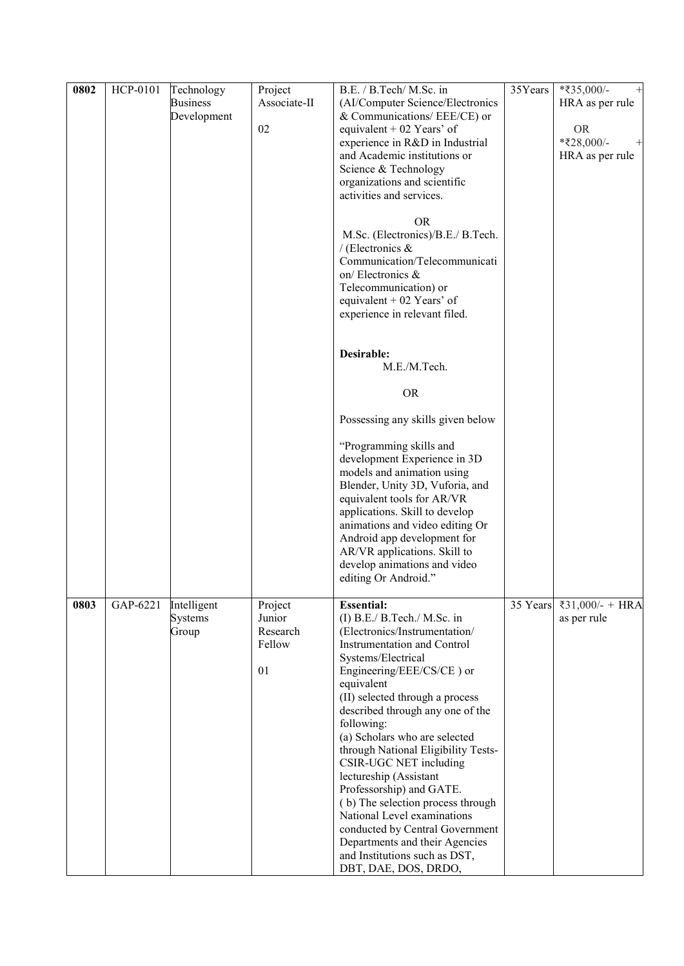| 0802 | HCP-0101 | Technology<br><b>Business</b><br>Development | Project<br>Associate-II<br>02                 | B.E. / B.Tech/ M.Sc. in<br>(AI/Computer Science/Electronics<br>& Communications/ $EEE/CE$ ) or<br>equivalent + 02 Years' of<br>experience in R&D in Industrial<br>and Academic institutions or<br>Science & Technology<br>organizations and scientific<br>activities and services.<br><b>OR</b><br>M.Sc. (Electronics)/B.E./ B.Tech.<br>/ (Electronics $\&$<br>Communication/Telecommunicati<br>on/Electronics &<br>Telecommunication) or<br>equivalent + 02 Years' of<br>experience in relevant filed.                                                                                                                                 | 35Years  | $*35,000/-$<br>$^+$<br>HRA as per rule<br><b>OR</b><br>*₹28,000/-<br>HRA as per rule |
|------|----------|----------------------------------------------|-----------------------------------------------|-----------------------------------------------------------------------------------------------------------------------------------------------------------------------------------------------------------------------------------------------------------------------------------------------------------------------------------------------------------------------------------------------------------------------------------------------------------------------------------------------------------------------------------------------------------------------------------------------------------------------------------------|----------|--------------------------------------------------------------------------------------|
|      |          |                                              |                                               | Desirable:<br>M.E./M.Tech.<br><b>OR</b><br>Possessing any skills given below<br>"Programming skills and<br>development Experience in 3D<br>models and animation using<br>Blender, Unity 3D, Vuforia, and<br>equivalent tools for AR/VR<br>applications. Skill to develop<br>animations and video editing Or<br>Android app development for<br>AR/VR applications. Skill to<br>develop animations and video<br>editing Or Android."                                                                                                                                                                                                      |          |                                                                                      |
| 0803 | GAP-6221 | Intelligent<br><b>Systems</b><br>Group       | Project<br>Junior<br>Research<br>Fellow<br>01 | <b>Essential:</b><br>(I) B.E./ B.Tech./ M.Sc. in<br>(Electronics/Instrumentation/<br><b>Instrumentation and Control</b><br>Systems/Electrical<br>Engineering/EEE/CS/CE) or<br>equivalent<br>(II) selected through a process<br>described through any one of the<br>following:<br>(a) Scholars who are selected<br>through National Eligibility Tests-<br>CSIR-UGC NET including<br>lectureship (Assistant<br>Professorship) and GATE.<br>(b) The selection process through<br>National Level examinations<br>conducted by Central Government<br>Departments and their Agencies<br>and Institutions such as DST,<br>DBT, DAE, DOS, DRDO, | 35 Years | ₹31,000/- + HRA<br>as per rule                                                       |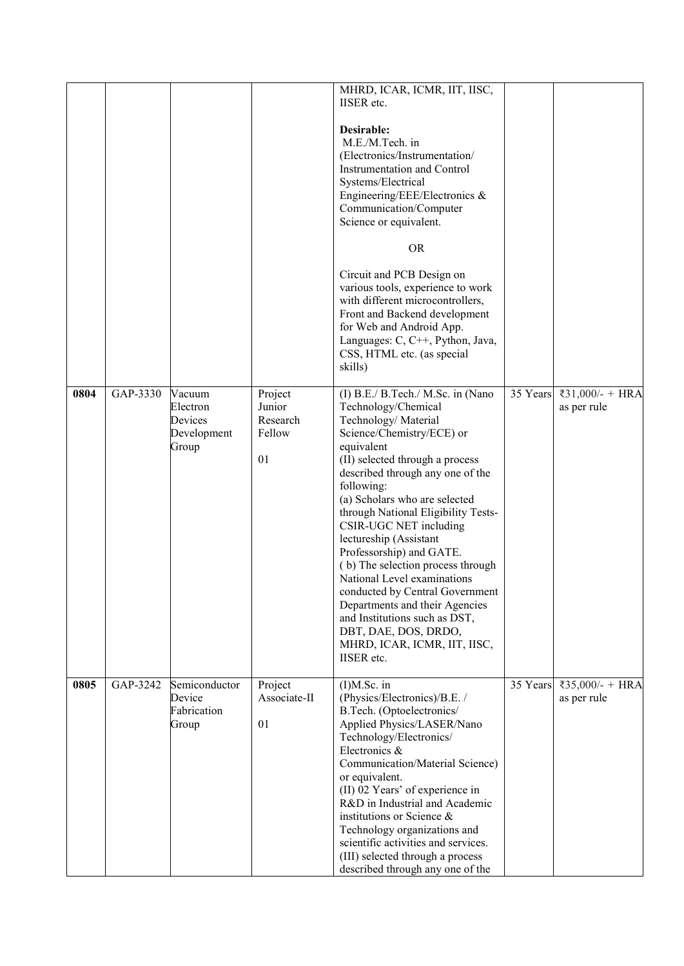|      |          |                                                       |                                               | MHRD, ICAR, ICMR, IIT, IISC,<br><b>IISER</b> etc.                                                                                                                                                                                                                                                                                                                                                                                                                                                                                                                                                                              |          |                                |
|------|----------|-------------------------------------------------------|-----------------------------------------------|--------------------------------------------------------------------------------------------------------------------------------------------------------------------------------------------------------------------------------------------------------------------------------------------------------------------------------------------------------------------------------------------------------------------------------------------------------------------------------------------------------------------------------------------------------------------------------------------------------------------------------|----------|--------------------------------|
|      |          |                                                       |                                               | Desirable:<br>M.E./M.Tech. in<br>(Electronics/Instrumentation/<br>Instrumentation and Control<br>Systems/Electrical<br>Engineering/EEE/Electronics &<br>Communication/Computer<br>Science or equivalent.                                                                                                                                                                                                                                                                                                                                                                                                                       |          |                                |
|      |          |                                                       |                                               | <b>OR</b><br>Circuit and PCB Design on                                                                                                                                                                                                                                                                                                                                                                                                                                                                                                                                                                                         |          |                                |
|      |          |                                                       |                                               | various tools, experience to work<br>with different microcontrollers,<br>Front and Backend development<br>for Web and Android App.<br>Languages: C, C++, Python, Java,<br>CSS, HTML etc. (as special<br>skills)                                                                                                                                                                                                                                                                                                                                                                                                                |          |                                |
| 0804 | GAP-3330 | Vacuum<br>Electron<br>Devices<br>Development<br>Group | Project<br>Junior<br>Research<br>Fellow<br>01 | (I) B.E./ B.Tech./ M.Sc. in (Nano<br>Technology/Chemical<br>Technology/Material<br>Science/Chemistry/ECE) or<br>equivalent<br>(II) selected through a process<br>described through any one of the<br>following:<br>(a) Scholars who are selected<br>through National Eligibility Tests-<br>CSIR-UGC NET including<br>lectureship (Assistant<br>Professorship) and GATE.<br>(b) The selection process through<br>National Level examinations<br>conducted by Central Government<br>Departments and their Agencies<br>and Institutions such as DST,<br>DBT, DAE, DOS, DRDO,<br>MHRD, ICAR, ICMR, IIT, IISC,<br><b>IISER</b> etc. | 35 Years | ₹31,000/- + HRA<br>as per rule |
| 0805 | GAP-3242 | Semiconductor<br>Device<br>Fabrication<br>Group       | Project<br>Associate-II<br>01                 | $(I)M.Sc.$ in<br>(Physics/Electronics)/B.E. /<br>B.Tech. (Optoelectronics/<br>Applied Physics/LASER/Nano<br>Technology/Electronics/<br>Electronics &<br>Communication/Material Science)<br>or equivalent.<br>(II) 02 Years' of experience in<br>R&D in Industrial and Academic<br>institutions or Science $\&$<br>Technology organizations and<br>scientific activities and services.<br>(III) selected through a process<br>described through any one of the                                                                                                                                                                  | 35 Years | ₹35,000/- + HRA<br>as per rule |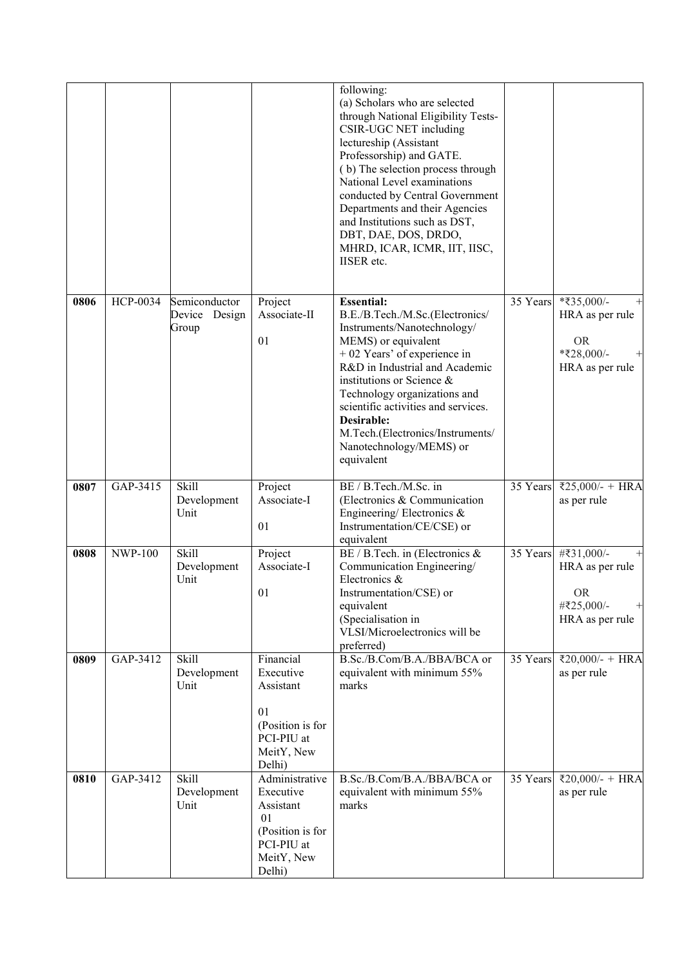|      |                |                                            |                                                                                                          | following:<br>(a) Scholars who are selected<br>through National Eligibility Tests-<br>CSIR-UGC NET including<br>lectureship (Assistant<br>Professorship) and GATE.<br>(b) The selection process through<br>National Level examinations<br>conducted by Central Government<br>Departments and their Agencies<br>and Institutions such as DST,<br>DBT, DAE, DOS, DRDO,<br>MHRD, ICAR, ICMR, IIT, IISC,<br><b>IISER</b> etc. |          |                                                                                               |
|------|----------------|--------------------------------------------|----------------------------------------------------------------------------------------------------------|---------------------------------------------------------------------------------------------------------------------------------------------------------------------------------------------------------------------------------------------------------------------------------------------------------------------------------------------------------------------------------------------------------------------------|----------|-----------------------------------------------------------------------------------------------|
| 0806 | HCP-0034       | Semiconductor<br>Device<br>Design<br>Group | Project<br>Associate-II<br>01                                                                            | <b>Essential:</b><br>B.E./B.Tech./M.Sc.(Electronics/<br>Instruments/Nanotechnology/<br>MEMS) or equivalent<br>+ 02 Years' of experience in<br>R&D in Industrial and Academic<br>institutions or Science $\&$<br>Technology organizations and<br>scientific activities and services.<br>Desirable:<br>M.Tech.(Electronics/Instruments/<br>Nanotechnology/MEMS) or<br>equivalent                                            | 35 Years | *₹35,000/-<br>HRA as per rule<br><b>OR</b><br>*₹28,000/-<br>HRA as per rule                   |
| 0807 | GAP-3415       | Skill<br>Development<br>Unit               | Project<br>Associate-I<br>01                                                                             | BE / B.Tech./M.Sc. in<br>(Electronics & Communication<br>Engineering/Electronics $\&$<br>Instrumentation/CE/CSE) or<br>equivalent                                                                                                                                                                                                                                                                                         | 35 Years | ₹25,000/- + HRA<br>as per rule                                                                |
| 0808 | <b>NWP-100</b> | Skill<br>Development<br>Unit               | Project<br>Associate-I<br>01                                                                             | BE / B.Tech. in (Electronics &<br>Communication Engineering/<br>Electronics &<br>Instrumentation/CSE) or<br>equivalent<br>(Specialisation in<br>VLSI/Microelectronics will be<br>preferred)                                                                                                                                                                                                                               | 35 Years | #₹31,000/-<br>HRA as per rule<br><b>OR</b><br>#₹25,000/-<br>$\overline{+}$<br>HRA as per rule |
| 0809 | GAP-3412       | <b>Skill</b><br>Development<br>Unit        | Financial<br>Executive<br>Assistant<br>01<br>(Position is for<br>PCI-PIU at<br>MeitY, New<br>Delhi)      | B.Sc./B.Com/B.A./BBA/BCA or<br>equivalent with minimum 55%<br>marks                                                                                                                                                                                                                                                                                                                                                       | 35 Years | ₹20,000/- + HRA<br>as per rule                                                                |
| 0810 | GAP-3412       | <b>Skill</b><br>Development<br>Unit        | Administrative<br>Executive<br>Assistant<br>01<br>(Position is for<br>PCI-PIU at<br>MeitY, New<br>Delhi) | B.Sc./B.Com/B.A./BBA/BCA or<br>equivalent with minimum 55%<br>marks                                                                                                                                                                                                                                                                                                                                                       | 35 Years | ₹20,000/- + HRA<br>as per rule                                                                |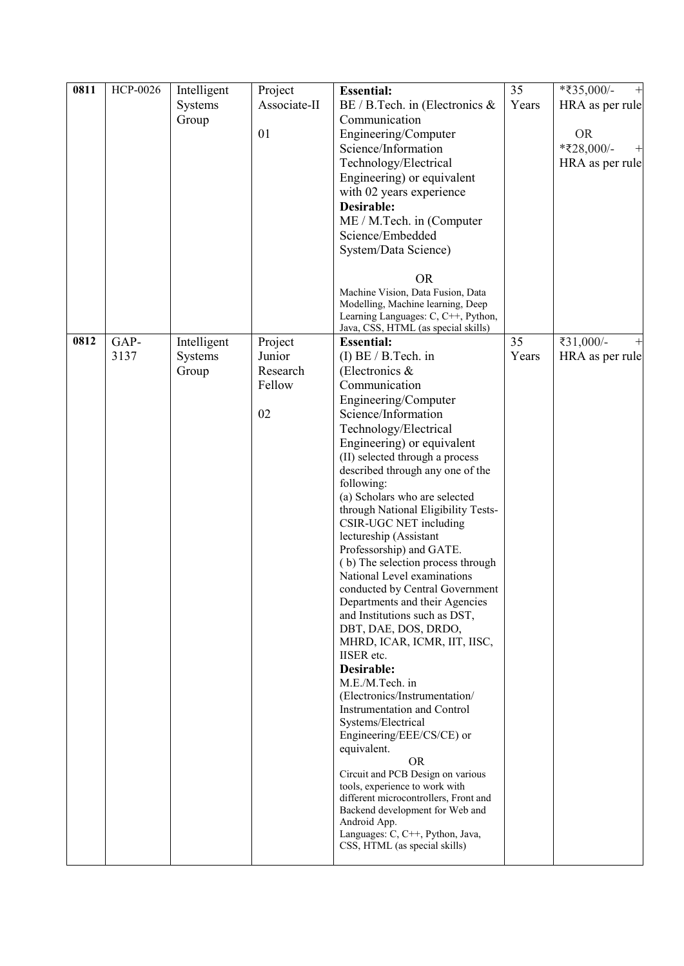| 0811 | <b>HCP-0026</b> | Intelligent | Project      | <b>Essential:</b>                                                      | 35    | *₹35,000/-<br>$\overline{+}$ |
|------|-----------------|-------------|--------------|------------------------------------------------------------------------|-------|------------------------------|
|      |                 | Systems     | Associate-II | BE / B.Tech. in (Electronics &                                         | Years | HRA as per rule              |
|      |                 | Group       |              | Communication                                                          |       |                              |
|      |                 |             | 01           | Engineering/Computer                                                   |       | <b>OR</b>                    |
|      |                 |             |              | Science/Information                                                    |       | *₹28,000/-<br>ᅱ              |
|      |                 |             |              | Technology/Electrical                                                  |       | HRA as per rule              |
|      |                 |             |              | Engineering) or equivalent                                             |       |                              |
|      |                 |             |              | with 02 years experience                                               |       |                              |
|      |                 |             |              | Desirable:                                                             |       |                              |
|      |                 |             |              | ME / M.Tech. in (Computer                                              |       |                              |
|      |                 |             |              | Science/Embedded                                                       |       |                              |
|      |                 |             |              | System/Data Science)                                                   |       |                              |
|      |                 |             |              |                                                                        |       |                              |
|      |                 |             |              | <b>OR</b>                                                              |       |                              |
|      |                 |             |              | Machine Vision, Data Fusion, Data<br>Modelling, Machine learning, Deep |       |                              |
|      |                 |             |              | Learning Languages: C, C++, Python,                                    |       |                              |
|      |                 |             |              | Java, CSS, HTML (as special skills)                                    |       |                              |
| 0812 | GAP-            | Intelligent | Project      | <b>Essential:</b>                                                      | 35    | ₹31,000/-                    |
|      | 3137            | Systems     | Junior       | $(I) BE / B.Tech.$ in                                                  | Years | HRA as per rule              |
|      |                 | Group       | Research     | (Electronics $\&$                                                      |       |                              |
|      |                 |             | Fellow       | Communication                                                          |       |                              |
|      |                 |             |              | Engineering/Computer                                                   |       |                              |
|      |                 |             | 02           | Science/Information                                                    |       |                              |
|      |                 |             |              | Technology/Electrical                                                  |       |                              |
|      |                 |             |              | Engineering) or equivalent<br>(II) selected through a process          |       |                              |
|      |                 |             |              | described through any one of the                                       |       |                              |
|      |                 |             |              | following:                                                             |       |                              |
|      |                 |             |              | (a) Scholars who are selected                                          |       |                              |
|      |                 |             |              | through National Eligibility Tests-                                    |       |                              |
|      |                 |             |              | CSIR-UGC NET including                                                 |       |                              |
|      |                 |             |              | lectureship (Assistant                                                 |       |                              |
|      |                 |             |              | Professorship) and GATE.<br>(b) The selection process through          |       |                              |
|      |                 |             |              | National Level examinations                                            |       |                              |
|      |                 |             |              | conducted by Central Government                                        |       |                              |
|      |                 |             |              | Departments and their Agencies                                         |       |                              |
|      |                 |             |              | and Institutions such as DST,                                          |       |                              |
|      |                 |             |              | DBT, DAE, DOS, DRDO,                                                   |       |                              |
|      |                 |             |              | MHRD, ICAR, ICMR, IIT, IISC,                                           |       |                              |
|      |                 |             |              | <b>IISER</b> etc.<br>Desirable:                                        |       |                              |
|      |                 |             |              | M.E./M.Tech. in                                                        |       |                              |
|      |                 |             |              | (Electronics/Instrumentation/                                          |       |                              |
|      |                 |             |              | <b>Instrumentation and Control</b>                                     |       |                              |
|      |                 |             |              | Systems/Electrical                                                     |       |                              |
|      |                 |             |              | Engineering/EEE/CS/CE) or                                              |       |                              |
|      |                 |             |              | equivalent.                                                            |       |                              |
|      |                 |             |              | <b>OR</b><br>Circuit and PCB Design on various                         |       |                              |
|      |                 |             |              | tools, experience to work with                                         |       |                              |
|      |                 |             |              | different microcontrollers, Front and                                  |       |                              |
|      |                 |             |              | Backend development for Web and                                        |       |                              |
|      |                 |             |              | Android App.<br>Languages: C, C++, Python, Java,                       |       |                              |
|      |                 |             |              | CSS, HTML (as special skills)                                          |       |                              |
|      |                 |             |              |                                                                        |       |                              |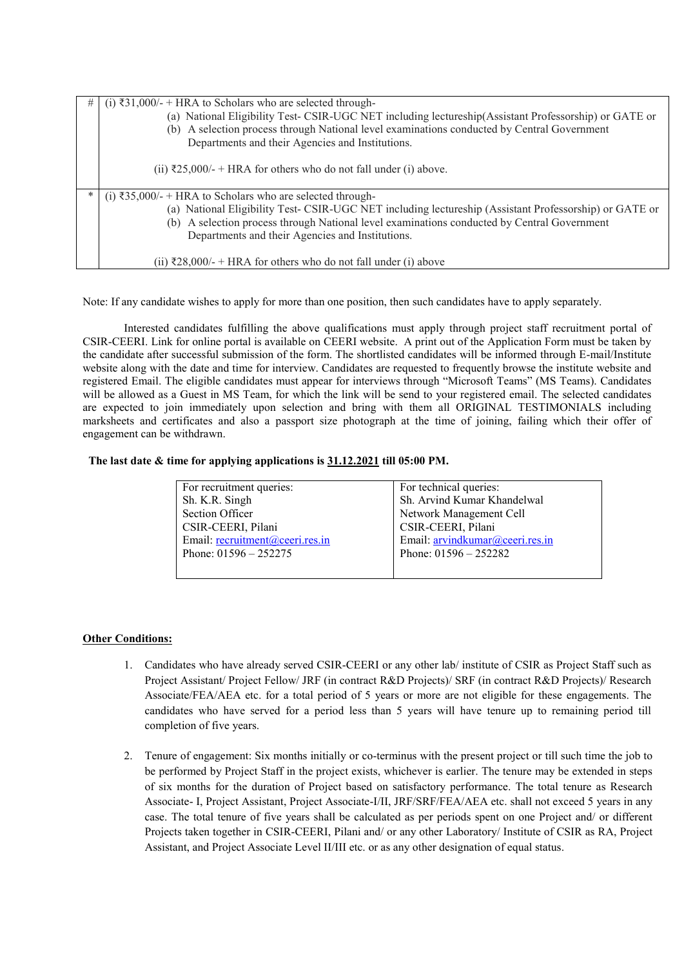| # | (i) ₹31,000/- + HRA to Scholars who are selected through-<br>(a) National Eligibility Test- CSIR-UGC NET including lectureship(Assistant Professorship) or GATE or<br>(b) A selection process through National level examinations conducted by Central Government<br>Departments and their Agencies and Institutions.<br>(ii) ₹25,000/- + HRA for others who do not fall under (i) above. |
|---|-------------------------------------------------------------------------------------------------------------------------------------------------------------------------------------------------------------------------------------------------------------------------------------------------------------------------------------------------------------------------------------------|
| * | (i) ₹35,000/- + HRA to Scholars who are selected through-<br>(a) National Eligibility Test-CSIR-UGC NET including lectureship (Assistant Professorship) or GATE or<br>(b) A selection process through National level examinations conducted by Central Government<br>Departments and their Agencies and Institutions.<br>(ii) ₹28,000/- + HRA for others who do not fall under (i) above  |

Note: If any candidate wishes to apply for more than one position, then such candidates have to apply separately.

Interested candidates fulfilling the above qualifications must apply through project staff recruitment portal of CSIR-CEERI. Link for online portal is available on CEERI website. A print out of the Application Form must be taken by the candidate after successful submission of the form. The shortlisted candidates will be informed through E-mail/Institute website along with the date and time for interview. Candidates are requested to frequently browse the institute website and registered Email. The eligible candidates must appear for interviews through "Microsoft Teams" (MS Teams). Candidates will be allowed as a Guest in MS Team, for which the link will be send to your registered email. The selected candidates are expected to join immediately upon selection and bring with them all ORIGINAL TESTIMONIALS including marksheets and certificates and also a passport size photograph at the time of joining, failing which their offer of engagement can be withdrawn.

#### **The last date & time for applying applications is 31.12.2021 till 05:00 PM.**

| For recruitment queries:        | For technical queries:          |
|---------------------------------|---------------------------------|
| Sh. K.R. Singh                  | Sh. Arvind Kumar Khandelwal     |
| <b>Section Officer</b>          | Network Management Cell         |
| CSIR-CEERI, Pilani              | CSIR-CEERI, Pilani              |
| Email: recruitment@ceeri.res.in | Email: arvindkumar@ceeri.res.in |
| Phone: $01596 - 252275$         | Phone: $01596 - 252282$         |
|                                 |                                 |

# **Other Conditions:**

- 1. Candidates who have already served CSIR-CEERI or any other lab/ institute of CSIR as Project Staff such as Project Assistant/ Project Fellow/ JRF (in contract R&D Projects)/ SRF (in contract R&D Projects)/ Research Associate/FEA/AEA etc. for a total period of 5 years or more are not eligible for these engagements. The candidates who have served for a period less than 5 years will have tenure up to remaining period till completion of five years.
- 2. Tenure of engagement: Six months initially or co-terminus with the present project or till such time the job to be performed by Project Staff in the project exists, whichever is earlier. The tenure may be extended in steps of six months for the duration of Project based on satisfactory performance. The total tenure as Research Associate- I, Project Assistant, Project Associate-I/II, JRF/SRF/FEA/AEA etc. shall not exceed 5 years in any case. The total tenure of five years shall be calculated as per periods spent on one Project and/ or different Projects taken together in CSIR-CEERI, Pilani and/ or any other Laboratory/ Institute of CSIR as RA, Project Assistant, and Project Associate Level II/III etc. or as any other designation of equal status.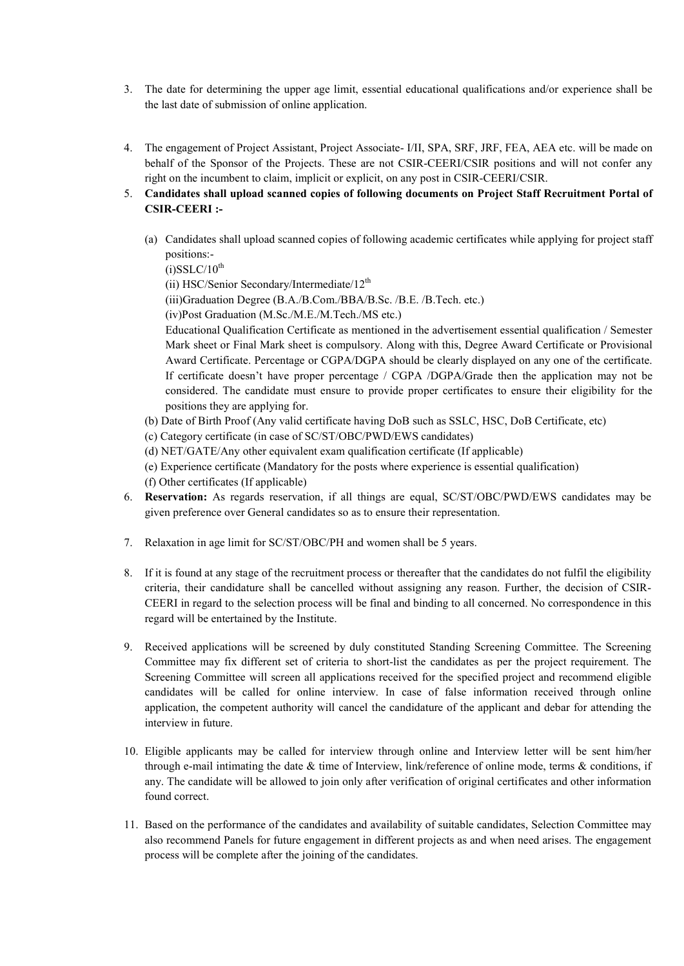- 3. The date for determining the upper age limit, essential educational qualifications and/or experience shall be the last date of submission of online application.
- 4. The engagement of Project Assistant, Project Associate- I/II, SPA, SRF, JRF, FEA, AEA etc. will be made on behalf of the Sponsor of the Projects. These are not CSIR-CEERI/CSIR positions and will not confer any right on the incumbent to claim, implicit or explicit, on any post in CSIR-CEERI/CSIR.
- 5. **Candidates shall upload scanned copies of following documents on Project Staff Recruitment Portal of CSIR-CEERI :-**
	- (a) Candidates shall upload scanned copies of following academic certificates while applying for project staff positions:-

 $(i)$ SSLC/10<sup>th</sup>

(ii) HSC/Senior Secondary/Intermediate/ $12<sup>th</sup>$ 

(iii)Graduation Degree (B.A./B.Com./BBA/B.Sc. /B.E. /B.Tech. etc.)

(iv)Post Graduation (M.Sc./M.E./M.Tech./MS etc.)

Educational Qualification Certificate as mentioned in the advertisement essential qualification / Semester Mark sheet or Final Mark sheet is compulsory. Along with this, Degree Award Certificate or Provisional Award Certificate. Percentage or CGPA/DGPA should be clearly displayed on any one of the certificate. If certificate doesn't have proper percentage / CGPA /DGPA/Grade then the application may not be considered. The candidate must ensure to provide proper certificates to ensure their eligibility for the positions they are applying for.

(b) Date of Birth Proof (Any valid certificate having DoB such as SSLC, HSC, DoB Certificate, etc)

(c) Category certificate (in case of SC/ST/OBC/PWD/EWS candidates)

- (d) NET/GATE/Any other equivalent exam qualification certificate (If applicable)
- (e) Experience certificate (Mandatory for the posts where experience is essential qualification)

(f) Other certificates (If applicable)

- 6. **Reservation:** As regards reservation, if all things are equal, SC/ST/OBC/PWD/EWS candidates may be given preference over General candidates so as to ensure their representation.
- 7. Relaxation in age limit for SC/ST/OBC/PH and women shall be 5 years.
- 8. If it is found at any stage of the recruitment process or thereafter that the candidates do not fulfil the eligibility criteria, their candidature shall be cancelled without assigning any reason. Further, the decision of CSIR-CEERI in regard to the selection process will be final and binding to all concerned. No correspondence in this regard will be entertained by the Institute.
- 9. Received applications will be screened by duly constituted Standing Screening Committee. The Screening Committee may fix different set of criteria to short-list the candidates as per the project requirement. The Screening Committee will screen all applications received for the specified project and recommend eligible candidates will be called for online interview. In case of false information received through online application, the competent authority will cancel the candidature of the applicant and debar for attending the interview in future.
- 10. Eligible applicants may be called for interview through online and Interview letter will be sent him/her through e-mail intimating the date & time of Interview, link/reference of online mode, terms & conditions, if any. The candidate will be allowed to join only after verification of original certificates and other information found correct.
- 11. Based on the performance of the candidates and availability of suitable candidates, Selection Committee may also recommend Panels for future engagement in different projects as and when need arises. The engagement process will be complete after the joining of the candidates.